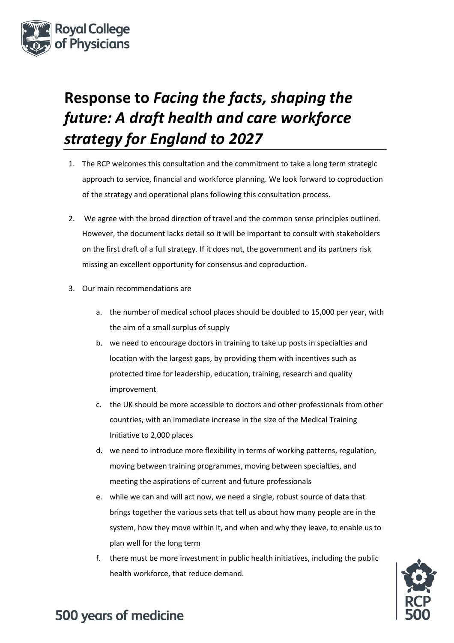

# **Response to** *Facing the facts, shaping the future: A draft health and care workforce strategy for England to 2027*

- 1. The RCP welcomes this consultation and the commitment to take a long term strategic approach to service, financial and workforce planning. We look forward to coproduction of the strategy and operational plans following this consultation process.
- 2. We agree with the broad direction of travel and the common sense principles outlined. However, the document lacks detail so it will be important to consult with stakeholders on the first draft of a full strategy. If it does not, the government and its partners risk missing an excellent opportunity for consensus and coproduction.
- 3. Our main recommendations are
	- a. the number of medical school places should be doubled to 15,000 per year, with the aim of a small surplus of supply
	- b. we need to encourage doctors in training to take up posts in specialties and location with the largest gaps, by providing them with incentives such as protected time for leadership, education, training, research and quality improvement
	- c. the UK should be more accessible to doctors and other professionals from other countries, with an immediate increase in the size of the Medical Training Initiative to 2,000 places
	- d. we need to introduce more flexibility in terms of working patterns, regulation, moving between training programmes, moving between specialties, and meeting the aspirations of current and future professionals
	- e. while we can and will act now, we need a single, robust source of data that brings together the various sets that tell us about how many people are in the system, how they move within it, and when and why they leave, to enable us to plan well for the long term
	- f. there must be more investment in public health initiatives, including the public health workforce, that reduce demand.

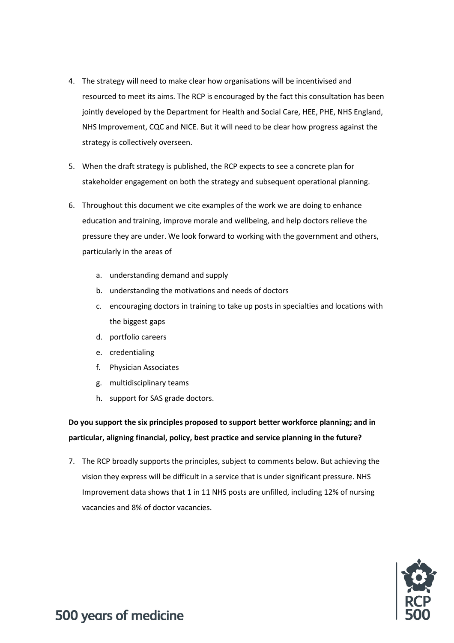- 4. The strategy will need to make clear how organisations will be incentivised and resourced to meet its aims. The RCP is encouraged by the fact this consultation has been jointly developed by the Department for Health and Social Care, HEE, PHE, NHS England, NHS Improvement, CQC and NICE. But it will need to be clear how progress against the strategy is collectively overseen.
- 5. When the draft strategy is published, the RCP expects to see a concrete plan for stakeholder engagement on both the strategy and subsequent operational planning.
- 6. Throughout this document we cite examples of the work we are doing to enhance education and training, improve morale and wellbeing, and help doctors relieve the pressure they are under. We look forward to working with the government and others, particularly in the areas of
	- a. understanding demand and supply
	- b. understanding the motivations and needs of doctors
	- c. encouraging doctors in training to take up posts in specialties and locations with the biggest gaps
	- d. portfolio careers
	- e. credentialing
	- f. Physician Associates
	- g. multidisciplinary teams
	- h. support for SAS grade doctors.

**Do you support the six principles proposed to support better workforce planning; and in particular, aligning financial, policy, best practice and service planning in the future?** 

7. The RCP broadly supports the principles, subject to comments below. But achieving the vision they express will be difficult in a service that is under significant pressure. NHS Improvement data shows that 1 in 11 NHS posts are unfilled, including 12% of nursing vacancies and 8% of doctor vacancies.

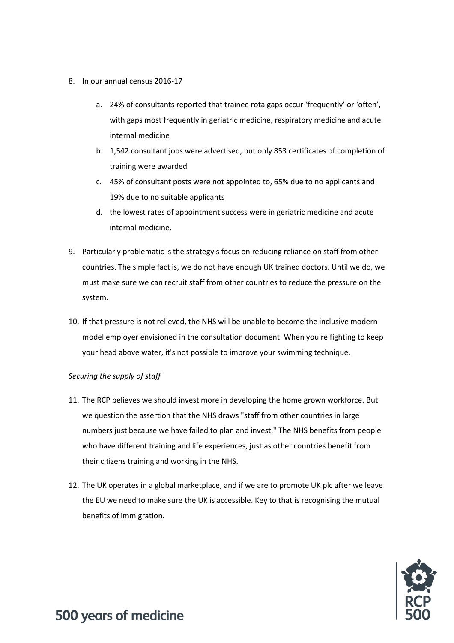- 8. In our annual census 2016-17
	- a. 24% of consultants reported that trainee rota gaps occur 'frequently' or 'often', with gaps most frequently in geriatric medicine, respiratory medicine and acute internal medicine
	- b. 1,542 consultant jobs were advertised, but only 853 certificates of completion of training were awarded
	- c. 45% of consultant posts were not appointed to, 65% due to no applicants and 19% due to no suitable applicants
	- d. the lowest rates of appointment success were in geriatric medicine and acute internal medicine.
- 9. Particularly problematic is the strategy's focus on reducing reliance on staff from other countries. The simple fact is, we do not have enough UK trained doctors. Until we do, we must make sure we can recruit staff from other countries to reduce the pressure on the system.
- 10. If that pressure is not relieved, the NHS will be unable to become the inclusive modern model employer envisioned in the consultation document. When you're fighting to keep your head above water, it's not possible to improve your swimming technique.

#### *Securing the supply of staff*

- 11. The RCP believes we should invest more in developing the home grown workforce. But we question the assertion that the NHS draws "staff from other countries in large numbers just because we have failed to plan and invest." The NHS benefits from people who have different training and life experiences, just as other countries benefit from their citizens training and working in the NHS.
- 12. The UK operates in a global marketplace, and if we are to promote UK plc after we leave the EU we need to make sure the UK is accessible. Key to that is recognising the mutual benefits of immigration.

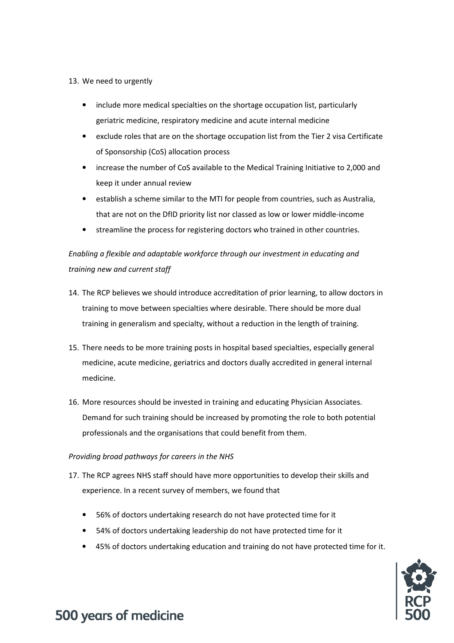#### 13. We need to urgently

- include more medical specialties on the shortage occupation list, particularly geriatric medicine, respiratory medicine and acute internal medicine
- exclude roles that are on the shortage occupation list from the Tier 2 visa Certificate of Sponsorship (CoS) allocation process
- increase the number of CoS available to the Medical Training Initiative to 2,000 and keep it under annual review
- establish a scheme similar to the MTI for people from countries, such as Australia, that are not on the DfID priority list nor classed as low or lower middle-income
- streamline the process for registering doctors who trained in other countries.

#### *Enabling a flexible and adaptable workforce through our investment in educating and training new and current staff*

- 14. The RCP believes we should introduce accreditation of prior learning, to allow doctors in training to move between specialties where desirable. There should be more dual training in generalism and specialty, without a reduction in the length of training.
- 15. There needs to be more training posts in hospital based specialties, especially general medicine, acute medicine, geriatrics and doctors dually accredited in general internal medicine.
- 16. More resources should be invested in training and educating Physician Associates. Demand for such training should be increased by promoting the role to both potential professionals and the organisations that could benefit from them.

#### *Providing broad pathways for careers in the NHS*

- 17. The RCP agrees NHS staff should have more opportunities to develop their skills and experience. In a recent survey of members, we found that
	- 56% of doctors undertaking research do not have protected time for it
	- 54% of doctors undertaking leadership do not have protected time for it
	- 45% of doctors undertaking education and training do not have protected time for it.

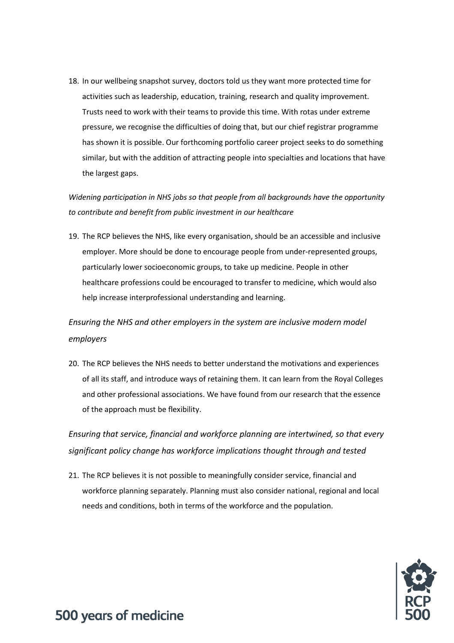18. In our wellbeing snapshot survey, doctors told us they want more protected time for activities such as leadership, education, training, research and quality improvement. Trusts need to work with their teams to provide this time. With rotas under extreme pressure, we recognise the difficulties of doing that, but our chief registrar programme has shown it is possible. Our forthcoming portfolio career project seeks to do something similar, but with the addition of attracting people into specialties and locations that have the largest gaps.

*Widening participation in NHS jobs so that people from all backgrounds have the opportunity to contribute and benefit from public investment in our healthcare* 

19. The RCP believes the NHS, like every organisation, should be an accessible and inclusive employer. More should be done to encourage people from under-represented groups, particularly lower socioeconomic groups, to take up medicine. People in other healthcare professions could be encouraged to transfer to medicine, which would also help increase interprofessional understanding and learning.

*Ensuring the NHS and other employers in the system are inclusive modern model employers* 

20. The RCP believes the NHS needs to better understand the motivations and experiences of all its staff, and introduce ways of retaining them. It can learn from the Royal Colleges and other professional associations. We have found from our research that the essence of the approach must be flexibility.

*Ensuring that service, financial and workforce planning are intertwined, so that every significant policy change has workforce implications thought through and tested* 

21. The RCP believes it is not possible to meaningfully consider service, financial and workforce planning separately. Planning must also consider national, regional and local needs and conditions, both in terms of the workforce and the population.

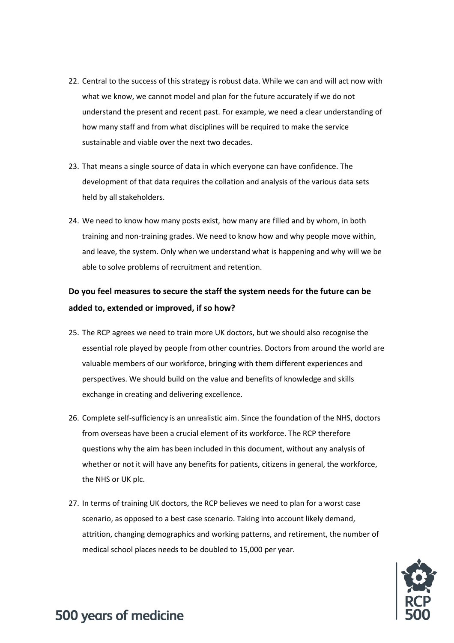- 22. Central to the success of this strategy is robust data. While we can and will act now with what we know, we cannot model and plan for the future accurately if we do not understand the present and recent past. For example, we need a clear understanding of how many staff and from what disciplines will be required to make the service sustainable and viable over the next two decades.
- 23. That means a single source of data in which everyone can have confidence. The development of that data requires the collation and analysis of the various data sets held by all stakeholders.
- 24. We need to know how many posts exist, how many are filled and by whom, in both training and non-training grades. We need to know how and why people move within, and leave, the system. Only when we understand what is happening and why will we be able to solve problems of recruitment and retention.

#### **Do you feel measures to secure the staff the system needs for the future can be added to, extended or improved, if so how?**

- 25. The RCP agrees we need to train more UK doctors, but we should also recognise the essential role played by people from other countries. Doctors from around the world are valuable members of our workforce, bringing with them different experiences and perspectives. We should build on the value and benefits of knowledge and skills exchange in creating and delivering excellence.
- 26. Complete self-sufficiency is an unrealistic aim. Since the foundation of the NHS, doctors from overseas have been a crucial element of its workforce. The RCP therefore questions why the aim has been included in this document, without any analysis of whether or not it will have any benefits for patients, citizens in general, the workforce, the NHS or UK plc.
- 27. In terms of training UK doctors, the RCP believes we need to plan for a worst case scenario, as opposed to a best case scenario. Taking into account likely demand, attrition, changing demographics and working patterns, and retirement, the number of medical school places needs to be doubled to 15,000 per year.

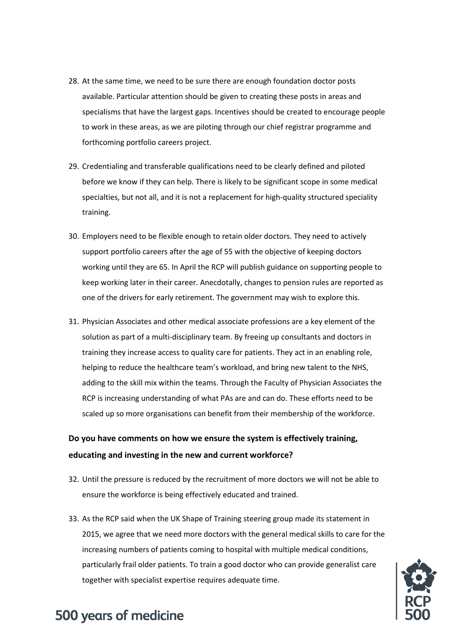- 28. At the same time, we need to be sure there are enough foundation doctor posts available. Particular attention should be given to creating these posts in areas and specialisms that have the largest gaps. Incentives should be created to encourage people to work in these areas, as we are piloting through our chief registrar programme and forthcoming portfolio careers project.
- 29. Credentialing and transferable qualifications need to be clearly defined and piloted before we know if they can help. There is likely to be significant scope in some medical specialties, but not all, and it is not a replacement for high-quality structured speciality training.
- 30. Employers need to be flexible enough to retain older doctors. They need to actively support portfolio careers after the age of 55 with the objective of keeping doctors working until they are 65. In April the RCP will publish guidance on supporting people to keep working later in their career. Anecdotally, changes to pension rules are reported as one of the drivers for early retirement. The government may wish to explore this.
- 31. Physician Associates and other medical associate professions are a key element of the solution as part of a multi-disciplinary team. By freeing up consultants and doctors in training they increase access to quality care for patients. They act in an enabling role, helping to reduce the healthcare team's workload, and bring new talent to the NHS, adding to the skill mix within the teams. Through the Faculty of Physician Associates the RCP is increasing understanding of what PAs are and can do. These efforts need to be scaled up so more organisations can benefit from their membership of the workforce.

#### **Do you have comments on how we ensure the system is effectively training, educating and investing in the new and current workforce?**

- 32. Until the pressure is reduced by the recruitment of more doctors we will not be able to ensure the workforce is being effectively educated and trained.
- 33. As the RCP said when the UK Shape of Training steering group made its statement in 2015, we agree that we need more doctors with the general medical skills to care for the increasing numbers of patients coming to hospital with multiple medical conditions, particularly frail older patients. To train a good doctor who can provide generalist care together with specialist expertise requires adequate time.

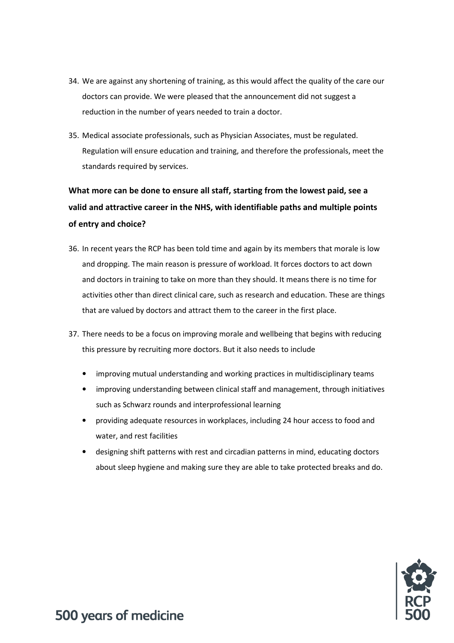- 34. We are against any shortening of training, as this would affect the quality of the care our doctors can provide. We were pleased that the announcement did not suggest a reduction in the number of years needed to train a doctor.
- 35. Medical associate professionals, such as Physician Associates, must be regulated. Regulation will ensure education and training, and therefore the professionals, meet the standards required by services.

#### **What more can be done to ensure all staff, starting from the lowest paid, see a valid and attractive career in the NHS, with identifiable paths and multiple points of entry and choice?**

- 36. In recent years the RCP has been told time and again by its members that morale is low and dropping. The main reason is pressure of workload. It forces doctors to act down and doctors in training to take on more than they should. It means there is no time for activities other than direct clinical care, such as research and education. These are things that are valued by doctors and attract them to the career in the first place.
- 37. There needs to be a focus on improving morale and wellbeing that begins with reducing this pressure by recruiting more doctors. But it also needs to include
	- improving mutual understanding and working practices in multidisciplinary teams
	- improving understanding between clinical staff and management, through initiatives such as Schwarz rounds and interprofessional learning
	- providing adequate resources in workplaces, including 24 hour access to food and water, and rest facilities
	- designing shift patterns with rest and circadian patterns in mind, educating doctors about sleep hygiene and making sure they are able to take protected breaks and do.

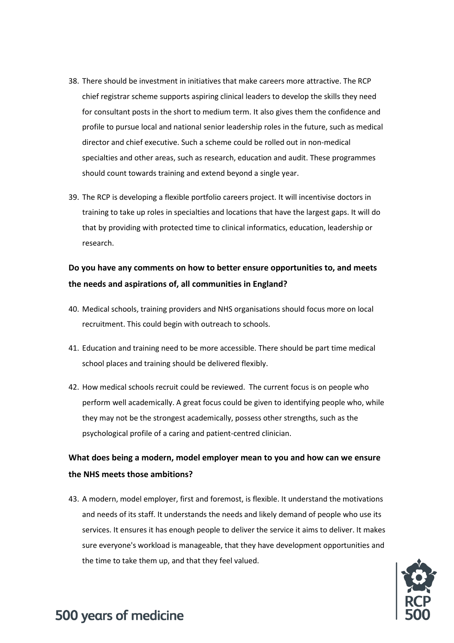- 38. There should be investment in initiatives that make careers more attractive. The RCP chief registrar scheme supports aspiring clinical leaders to develop the skills they need for consultant posts in the short to medium term. It also gives them the confidence and profile to pursue local and national senior leadership roles in the future, such as medical director and chief executive. Such a scheme could be rolled out in non-medical specialties and other areas, such as research, education and audit. These programmes should count towards training and extend beyond a single year.
- 39. The RCP is developing a flexible portfolio careers project. It will incentivise doctors in training to take up roles in specialties and locations that have the largest gaps. It will do that by providing with protected time to clinical informatics, education, leadership or research.

#### **Do you have any comments on how to better ensure opportunities to, and meets the needs and aspirations of, all communities in England?**

- 40. Medical schools, training providers and NHS organisations should focus more on local recruitment. This could begin with outreach to schools.
- 41. Education and training need to be more accessible. There should be part time medical school places and training should be delivered flexibly.
- 42. How medical schools recruit could be reviewed. The current focus is on people who perform well academically. A great focus could be given to identifying people who, while they may not be the strongest academically, possess other strengths, such as the psychological profile of a caring and patient-centred clinician.

#### **What does being a modern, model employer mean to you and how can we ensure the NHS meets those ambitions?**

43. A modern, model employer, first and foremost, is flexible. It understand the motivations and needs of its staff. It understands the needs and likely demand of people who use its services. It ensures it has enough people to deliver the service it aims to deliver. It makes sure everyone's workload is manageable, that they have development opportunities and the time to take them up, and that they feel valued.

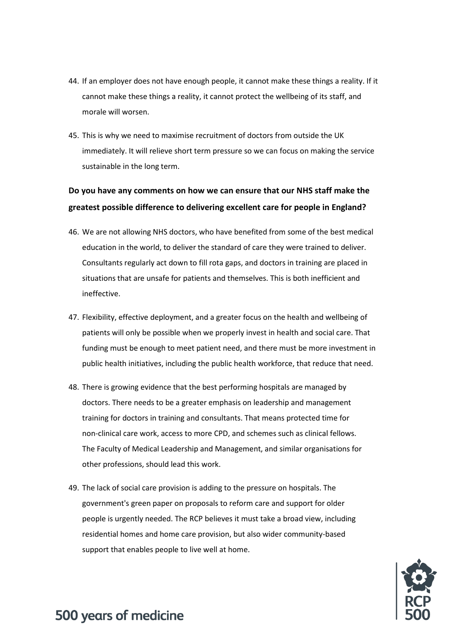- 44. If an employer does not have enough people, it cannot make these things a reality. If it cannot make these things a reality, it cannot protect the wellbeing of its staff, and morale will worsen.
- 45. This is why we need to maximise recruitment of doctors from outside the UK immediately. It will relieve short term pressure so we can focus on making the service sustainable in the long term.

#### **Do you have any comments on how we can ensure that our NHS staff make the greatest possible difference to delivering excellent care for people in England?**

- 46. We are not allowing NHS doctors, who have benefited from some of the best medical education in the world, to deliver the standard of care they were trained to deliver. Consultants regularly act down to fill rota gaps, and doctors in training are placed in situations that are unsafe for patients and themselves. This is both inefficient and ineffective.
- 47. Flexibility, effective deployment, and a greater focus on the health and wellbeing of patients will only be possible when we properly invest in health and social care. That funding must be enough to meet patient need, and there must be more investment in public health initiatives, including the public health workforce, that reduce that need.
- 48. There is growing evidence that the best performing hospitals are managed by doctors. There needs to be a greater emphasis on leadership and management training for doctors in training and consultants. That means protected time for non-clinical care work, access to more CPD, and schemes such as clinical fellows. The Faculty of Medical Leadership and Management, and similar organisations for other professions, should lead this work.
- 49. The lack of social care provision is adding to the pressure on hospitals. The government's green paper on proposals to reform care and support for older people is urgently needed. The RCP believes it must take a broad view, including residential homes and home care provision, but also wider community-based support that enables people to live well at home.